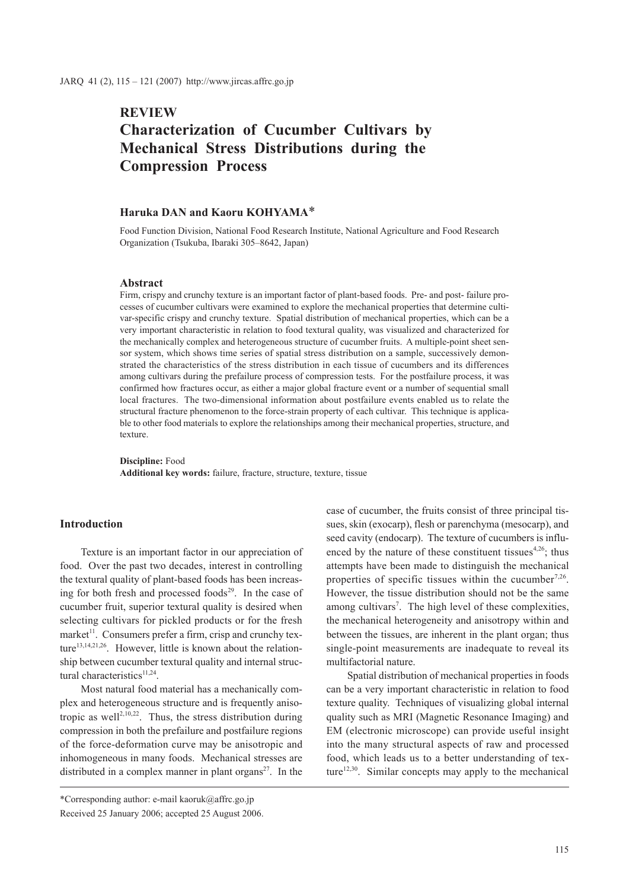# **REVIEW Characterization of Cucumber Cultivars by Mechanical Stress Distributions during the Compression Process**

# **Haruka DAN and Kaoru KOHYAMA**\*

Food Function Division, National Food Research Institute, National Agriculture and Food Research Organization (Tsukuba, Ibaraki 305–8642, Japan)

#### **Abstract**

Firm, crispy and crunchy texture is an important factor of plant-based foods. Pre- and post- failure processes of cucumber cultivars were examined to explore the mechanical properties that determine cultivar-specific crispy and crunchy texture. Spatial distribution of mechanical properties, which can be a very important characteristic in relation to food textural quality, was visualized and characterized for the mechanically complex and heterogeneous structure of cucumber fruits. A multiple-point sheet sensor system, which shows time series of spatial stress distribution on a sample, successively demonstrated the characteristics of the stress distribution in each tissue of cucumbers and its differences among cultivars during the prefailure process of compression tests. For the postfailure process, it was confirmed how fractures occur, as either a major global fracture event or a number of sequential small local fractures. The two-dimensional information about postfailure events enabled us to relate the structural fracture phenomenon to the force-strain property of each cultivar. This technique is applicable to other food materials to explore the relationships among their mechanical properties, structure, and texture.

**Discipline:** Food **Additional key words:** failure, fracture, structure, texture, tissue

### **Introduction**

Texture is an important factor in our appreciation of food. Over the past two decades, interest in controlling the textural quality of plant-based foods has been increasing for both fresh and processed foods<sup>29</sup>. In the case of cucumber fruit, superior textural quality is desired when selecting cultivars for pickled products or for the fresh market<sup> $11$ </sup>. Consumers prefer a firm, crisp and crunchy texture<sup>13,14,21,26</sup>. However, little is known about the relationship between cucumber textural quality and internal structural characteristics $11,24$ .

Most natural food material has a mechanically complex and heterogeneous structure and is frequently anisotropic as well<sup>2,10,22</sup>. Thus, the stress distribution during compression in both the prefailure and postfailure regions of the force-deformation curve may be anisotropic and inhomogeneous in many foods. Mechanical stresses are distributed in a complex manner in plant organs<sup>27</sup>. In the

\*Corresponding author: e-mail kaoruk@affrc.go.jp Received 25 January 2006; accepted 25 August 2006. case of cucumber, the fruits consist of three principal tissues, skin (exocarp), flesh or parenchyma (mesocarp), and seed cavity (endocarp). The texture of cucumbers is influenced by the nature of these constituent tissues<sup>4,26</sup>; thus attempts have been made to distinguish the mechanical properties of specific tissues within the cucumber<sup>7,26</sup>. However, the tissue distribution should not be the same among cultivars<sup>7</sup>. The high level of these complexities, the mechanical heterogeneity and anisotropy within and between the tissues, are inherent in the plant organ; thus single-point measurements are inadequate to reveal its multifactorial nature.

Spatial distribution of mechanical properties in foods can be a very important characteristic in relation to food texture quality. Techniques of visualizing global internal quality such as MRI (Magnetic Resonance Imaging) and EM (electronic microscope) can provide useful insight into the many structural aspects of raw and processed food, which leads us to a better understanding of texture<sup>12,30</sup>. Similar concepts may apply to the mechanical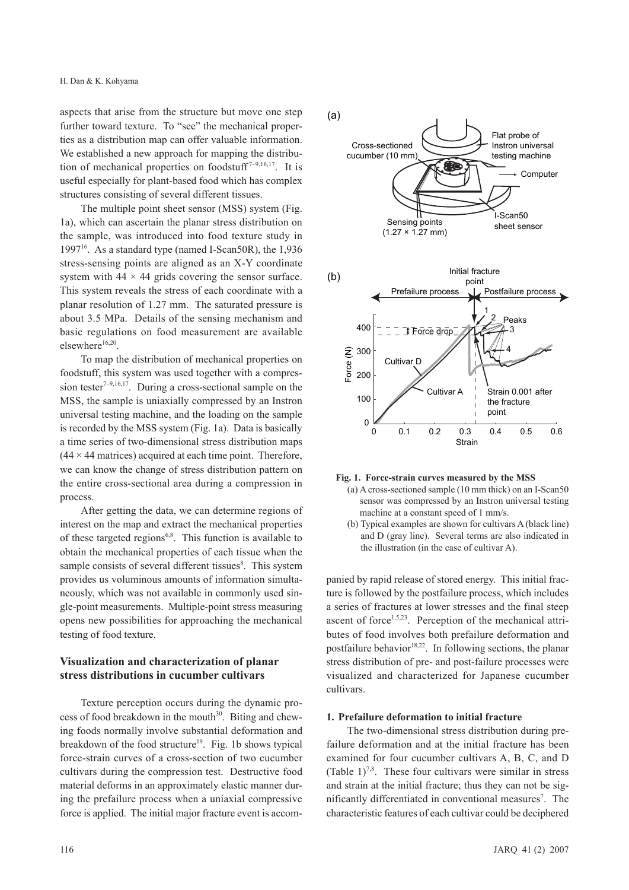aspects that arise from the structure but move one step further toward texture. To "see" the mechanical properties as a distribution map can offer valuable information. We established a new approach for mapping the distribution of mechanical properties on foodstuff<sup>7-9,16,17</sup>. It is useful especially for plant-based food which has complex structures consisting of several different tissues.

The multiple point sheet sensor (MSS) system (Fig. 1a), which can ascertain the planar stress distribution on the sample, was introduced into food texture study in 1997 $^{16}$ . As a standard type (named I-Scan50R), the 1,936 stress-sensing points are aligned as an X-Y coordinate system with  $44 \times 44$  grids covering the sensor surface. This system reveals the stress of each coordinate with a planar resolution of 1.27 mm. The saturated pressure is about 3.5 MPa. Details of the sensing mechanism and basic regulations on food measurement are available elsewhere<sup>16,20</sup>.

To map the distribution of mechanical properties on foodstuff, this system was used together with a compression tester<sup>7-9,16,17</sup>. During a cross-sectional sample on the MSS, the sample is uniaxially compressed by an Instron universal testing machine, and the loading on the sample is recorded by the MSS system (Fig. 1a). Data is basically a time series of two-dimensional stress distribution maps  $(44 \times 44$  matrices) acquired at each time point. Therefore, we can know the change of stress distribution pattern on the entire cross-sectional area during a compression in process.

After getting the data, we can determine regions of interest on the map and extract the mechanical properties of these targeted regions<sup>6,8</sup>. This function is available to obtain the mechanical properties of each tissue when the sample consists of several different tissues<sup>8</sup>. This system provides us voluminous amounts of information simultaneously, which was not available in commonly used single-point measurements. Multiple-point stress measuring opens new possibilities for approaching the mechanical testing of food texture.

# **Visualization and characterization of planar stress distributions in cucumber cultivars**

Texture perception occurs during the dynamic process of food breakdown in the mouth $30$ . Biting and chewing foods normally involve substantial deformation and breakdown of the food structure<sup>19</sup>. Fig. 1b shows typical force-strain curves of a cross-section of two cucumber cultivars during the compression test. Destructive food material deforms in an approximately elastic manner during the prefailure process when a uniaxial compressive force is applied. The initial major fracture event is accom-



#### **Fig. 1. Force-strain curves measured by the MSS**

- (a) A cross-sectioned sample (10 mm thick) on an I-Scan50 sensor was compressed by an Instron universal testing machine at a constant speed of 1 mm/s.
- (b) Typical examples are shown for cultivars A (black line) and D (gray line). Several terms are also indicated in the illustration (in the case of cultivar A).

panied by rapid release of stored energy. This initial fracture is followed by the postfailure process, which includes a series of fractures at lower stresses and the final steep ascent of force<sup>1,5,23</sup>. Perception of the mechanical attributes of food involves both prefailure deformation and postfailure behavior<sup>18,22</sup>. In following sections, the planar stress distribution of pre- and post-failure processes were visualized and characterized for Japanese cucumber cultivars.

#### **1. Prefailure deformation to initial fracture**

The two-dimensional stress distribution during prefailure deformation and at the initial fracture has been examined for four cucumber cultivars A, B, C, and D (Table  $1$ )<sup>7,8</sup>. These four cultivars were similar in stress and strain at the initial fracture; thus they can not be significantly differentiated in conventional measures<sup>7</sup>. The characteristic features of each cultivar could be deciphered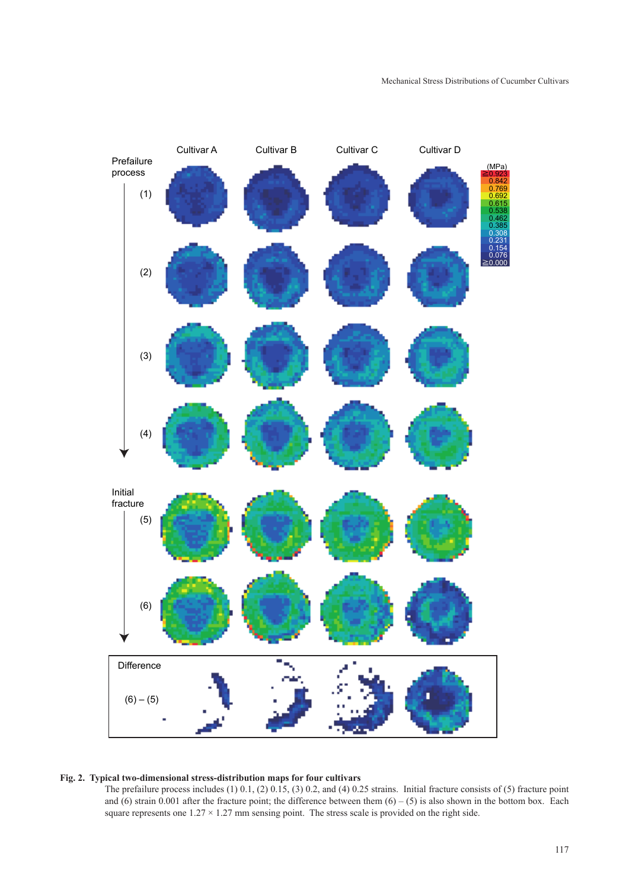

# **Fig. 2. Typical two-dimensional stress-distribution maps for four cultivars**

The prefailure process includes (1) 0.1, (2) 0.15, (3) 0.2, and (4) 0.25 strains. Initial fracture consists of (5) fracture point and (6) strain 0.001 after the fracture point; the difference between them  $(6) - (5)$  is also shown in the bottom box. Each square represents one  $1.27 \times 1.27$  mm sensing point. The stress scale is provided on the right side.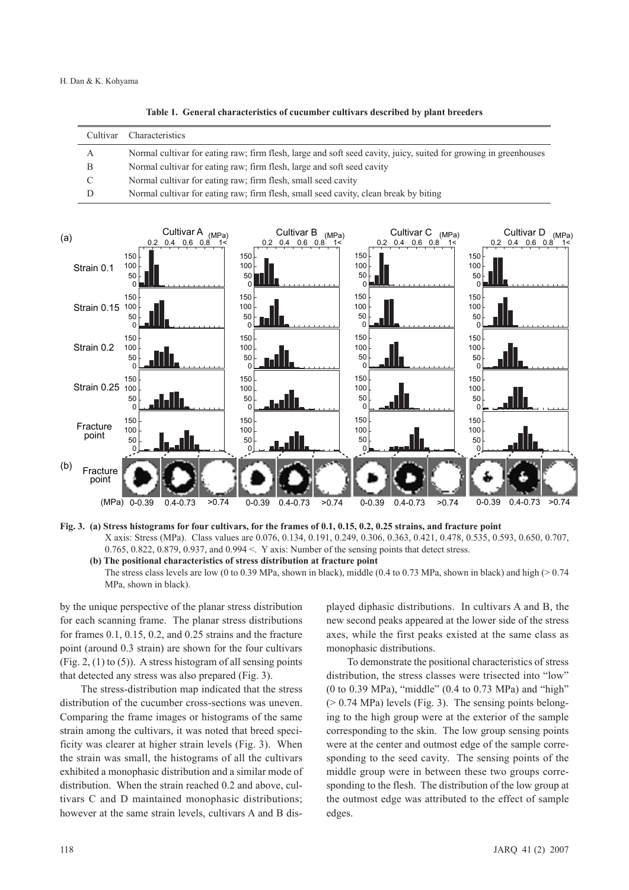**Table 1. General characteristics of cucumber cultivars described by plant breeders**

| Cultivar | Characteristics                                                                                                  |
|----------|------------------------------------------------------------------------------------------------------------------|
| A        | Normal cultivar for eating raw; firm flesh, large and soft seed cavity, juicy, suited for growing in greenhouses |
| B        | Normal cultivar for eating raw; firm flesh, large and soft seed cavity                                           |
|          | Normal cultivar for eating raw; firm flesh, small seed cavity                                                    |
|          | Normal cultivar for eating raw; firm flesh, small seed cavity, clean break by biting                             |



**Fig. 3. (a) Stress histograms for four cultivars, for the frames of 0.1, 0.15, 0.2, 0.25 strains, and fracture point** X axis: Stress (MPa). Class values are 0.076, 0.134, 0.191, 0.249, 0.306, 0.363, 0.421, 0.478, 0.535, 0.593, 0.650, 0.707, 0.765, 0.822, 0.879, 0.937, and 0.994 <. Y axis: Number of the sensing points that detect stress.

**(b) The positional characteristics of stress distribution at fracture point** 

The stress class levels are low (0 to 0.39 MPa, shown in black), middle (0.4 to 0.73 MPa, shown in black) and high ( $> 0.74$ MPa, shown in black).

by the unique perspective of the planar stress distribution for each scanning frame. The planar stress distributions for frames 0.1, 0.15, 0.2, and 0.25 strains and the fracture point (around 0.3 strain) are shown for the four cultivars (Fig. 2,  $(1)$  to  $(5)$ ). A stress histogram of all sensing points that detected any stress was also prepared (Fig. 3).

The stress-distribution map indicated that the stress distribution of the cucumber cross-sections was uneven. Comparing the frame images or histograms of the same strain among the cultivars, it was noted that breed specificity was clearer at higher strain levels (Fig. 3). When the strain was small, the histograms of all the cultivars exhibited a monophasic distribution and a similar mode of distribution. When the strain reached 0.2 and above, cultivars C and D maintained monophasic distributions; however at the same strain levels, cultivars A and B displayed diphasic distributions. In cultivars A and B, the new second peaks appeared at the lower side of the stress axes, while the first peaks existed at the same class as monophasic distributions.

To demonstrate the positional characteristics of stress distribution, the stress classes were trisected into "low" (0 to 0.39 MPa), "middle" (0.4 to 0.73 MPa) and "high"  $(> 0.74 \text{ MPa})$  levels (Fig. 3). The sensing points belonging to the high group were at the exterior of the sample corresponding to the skin. The low group sensing points were at the center and outmost edge of the sample corresponding to the seed cavity. The sensing points of the middle group were in between these two groups corresponding to the flesh. The distribution of the low group at the outmost edge was attributed to the effect of sample edges.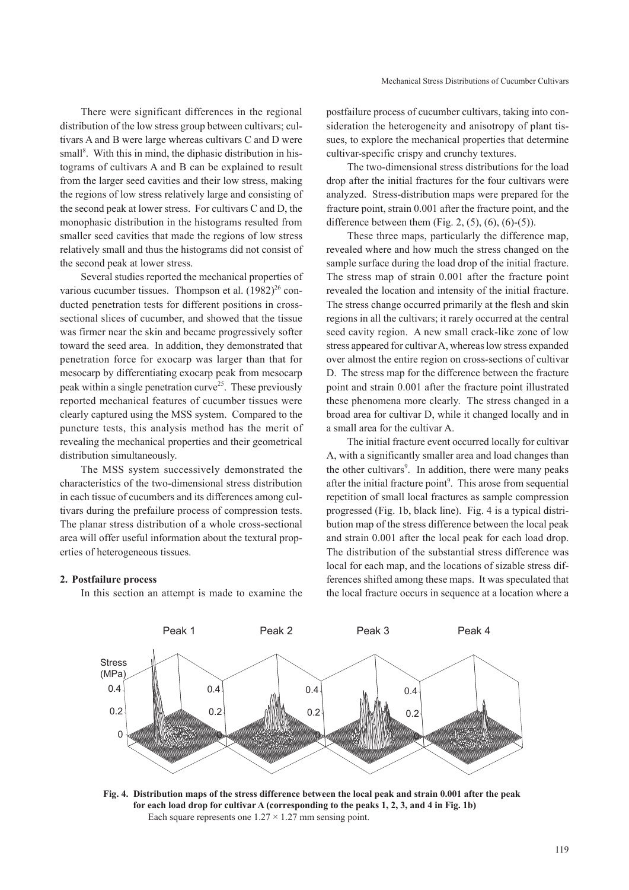Mechanical Stress Distributions of Cucumber Cultivars

There were significant differences in the regional distribution of the low stress group between cultivars; cultivars A and B were large whereas cultivars C and D were small<sup>8</sup>. With this in mind, the diphasic distribution in histograms of cultivars A and B can be explained to result from the larger seed cavities and their low stress, making the regions of low stress relatively large and consisting of the second peak at lower stress. For cultivars C and D, the monophasic distribution in the histograms resulted from smaller seed cavities that made the regions of low stress relatively small and thus the histograms did not consist of the second peak at lower stress.

Several studies reported the mechanical properties of various cucumber tissues. Thompson et al.  $(1982)^{26}$  conducted penetration tests for different positions in crosssectional slices of cucumber, and showed that the tissue was firmer near the skin and became progressively softer toward the seed area. In addition, they demonstrated that penetration force for exocarp was larger than that for mesocarp by differentiating exocarp peak from mesocarp peak within a single penetration curve<sup>25</sup>. These previously reported mechanical features of cucumber tissues were clearly captured using the MSS system. Compared to the puncture tests, this analysis method has the merit of revealing the mechanical properties and their geometrical distribution simultaneously.

The MSS system successively demonstrated the characteristics of the two-dimensional stress distribution in each tissue of cucumbers and its differences among cultivars during the prefailure process of compression tests. The planar stress distribution of a whole cross-sectional area will offer useful information about the textural properties of heterogeneous tissues.

#### **2. Postfailure process**

In this section an attempt is made to examine the

postfailure process of cucumber cultivars, taking into consideration the heterogeneity and anisotropy of plant tissues, to explore the mechanical properties that determine cultivar-specific crispy and crunchy textures.

The two-dimensional stress distributions for the load drop after the initial fractures for the four cultivars were analyzed. Stress-distribution maps were prepared for the fracture point, strain 0.001 after the fracture point, and the difference between them (Fig. 2,  $(5)$ ,  $(6)$ ,  $(6)$ - $(5)$ ).

These three maps, particularly the difference map, revealed where and how much the stress changed on the sample surface during the load drop of the initial fracture. The stress map of strain 0.001 after the fracture point revealed the location and intensity of the initial fracture. The stress change occurred primarily at the flesh and skin regions in all the cultivars; it rarely occurred at the central seed cavity region. A new small crack-like zone of low stress appeared for cultivar A, whereas low stress expanded over almost the entire region on cross-sections of cultivar D. The stress map for the difference between the fracture point and strain 0.001 after the fracture point illustrated these phenomena more clearly. The stress changed in a broad area for cultivar D, while it changed locally and in a small area for the cultivar A.

The initial fracture event occurred locally for cultivar A, with a significantly smaller area and load changes than the other cultivars<sup>9</sup>. In addition, there were many peaks after the initial fracture point<sup>9</sup>. This arose from sequential repetition of small local fractures as sample compression progressed (Fig. 1b, black line). Fig. 4 is a typical distribution map of the stress difference between the local peak and strain 0.001 after the local peak for each load drop. The distribution of the substantial stress difference was local for each map, and the locations of sizable stress differences shifted among these maps. It was speculated that the local fracture occurs in sequence at a location where a



**Fig. 4. Distribution maps of the stress difference between the local peak and strain 0.001 after the peak for each load drop for cultivar A (corresponding to the peaks 1, 2, 3, and 4 in Fig. 1b)** Each square represents one  $1.27 \times 1.27$  mm sensing point.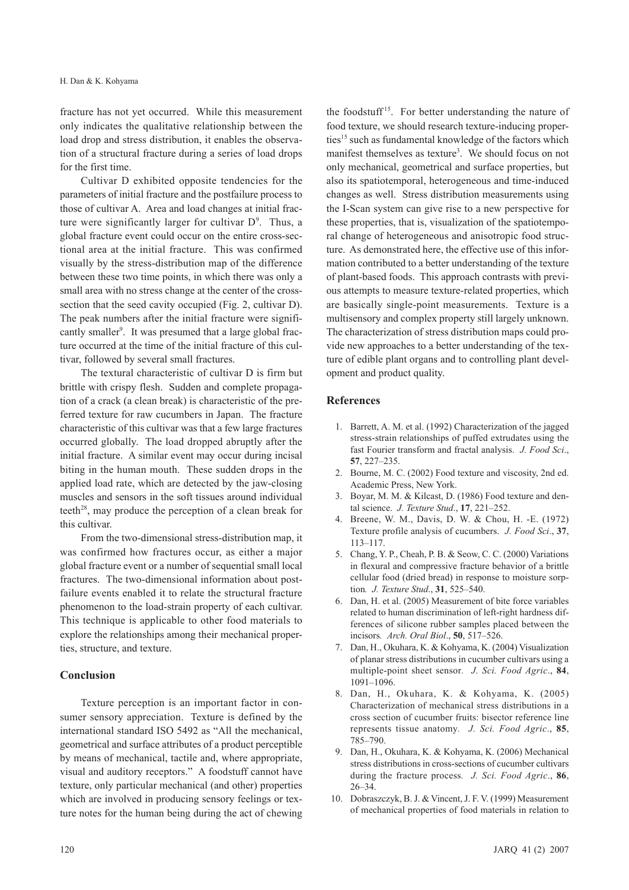fracture has not yet occurred. While this measurement only indicates the qualitative relationship between the load drop and stress distribution, it enables the observation of a structural fracture during a series of load drops for the first time.

Cultivar D exhibited opposite tendencies for the parameters of initial fracture and the postfailure process to those of cultivar A. Area and load changes at initial fracture were significantly larger for cultivar  $D^9$ . Thus, a global fracture event could occur on the entire cross-sectional area at the initial fracture. This was confirmed visually by the stress-distribution map of the difference between these two time points, in which there was only a small area with no stress change at the center of the crosssection that the seed cavity occupied (Fig. 2, cultivar D). The peak numbers after the initial fracture were significantly smaller<sup>9</sup>. It was presumed that a large global fracture occurred at the time of the initial fracture of this cultivar, followed by several small fractures.

The textural characteristic of cultivar D is firm but brittle with crispy flesh. Sudden and complete propagation of a crack (a clean break) is characteristic of the preferred texture for raw cucumbers in Japan. The fracture characteristic of this cultivar was that a few large fractures occurred globally. The load dropped abruptly after the initial fracture. A similar event may occur during incisal biting in the human mouth. These sudden drops in the applied load rate, which are detected by the jaw-closing muscles and sensors in the soft tissues around individual teeth $^{28}$ , may produce the perception of a clean break for this cultivar.

From the two-dimensional stress-distribution map, it was confirmed how fractures occur, as either a major global fracture event or a number of sequential small local fractures. The two-dimensional information about postfailure events enabled it to relate the structural fracture phenomenon to the load-strain property of each cultivar. This technique is applicable to other food materials to explore the relationships among their mechanical properties, structure, and texture.

## **Conclusion**

Texture perception is an important factor in consumer sensory appreciation. Texture is defined by the international standard ISO 5492 as "All the mechanical, geometrical and surface attributes of a product perceptible by means of mechanical, tactile and, where appropriate, visual and auditory receptors." A foodstuff cannot have texture, only particular mechanical (and other) properties which are involved in producing sensory feelings or texture notes for the human being during the act of chewing

the foodstuff<sup>15</sup>. For better understanding the nature of food texture, we should research texture-inducing properties<sup>15</sup> such as fundamental knowledge of the factors which manifest themselves as texture<sup>3</sup>. We should focus on not only mechanical, geometrical and surface properties, but also its spatiotemporal, heterogeneous and time-induced changes as well. Stress distribution measurements using the I-Scan system can give rise to a new perspective for these properties, that is, visualization of the spatiotemporal change of heterogeneous and anisotropic food structure. As demonstrated here, the effective use of this information contributed to a better understanding of the texture of plant-based foods. This approach contrasts with previous attempts to measure texture-related properties, which are basically single-point measurements. Texture is a multisensory and complex property still largely unknown. The characterization of stress distribution maps could provide new approaches to a better understanding of the texture of edible plant organs and to controlling plant development and product quality.

## **References**

- 1. Barrett, A. M. et al. (1992) Characterization of the jagged stress-strain relationships of puffed extrudates using the fast Fourier transform and fractal analysis. *J. Food Sci*., **57**, 227–235.
- 2. Bourne, M. C. (2002) Food texture and viscosity, 2nd ed. Academic Press, New York.
- 3. Boyar, M. M. & Kilcast, D. (1986) Food texture and dental science. *J. Texture Stud*., **17**, 221–252.
- 4. Breene, W. M., Davis, D. W. & Chou, H. -E. (1972) Texture profile analysis of cucumbers. *J. Food Sci*., **37**, 113–117.
- 5. Chang, Y. P., Cheah, P. B. & Seow, C. C. (2000) Variations in flexural and compressive fracture behavior of a brittle cellular food (dried bread) in response to moisture sorption*. J. Texture Stud*., **31**, 525–540.
- 6. Dan, H. et al. (2005) Measurement of bite force variables related to human discrimination of left-right hardness differences of silicone rubber samples placed between the incisors*. Arch. Oral Biol*., **50**, 517–526.
- 7. Dan, H., Okuhara, K. & Kohyama, K. (2004) Visualization of planar stress distributions in cucumber cultivars using a multiple-point sheet sensor*. J. Sci. Food Agric*., **84**, 1091–1096.
- 8. Dan, H., Okuhara, K. & Kohyama, K. (2005) Characterization of mechanical stress distributions in a cross section of cucumber fruits: bisector reference line represents tissue anatomy*. J. Sci. Food Agric*., **85**, 785–790.
- 9. Dan, H., Okuhara, K. & Kohyama, K. (2006) Mechanical stress distributions in cross-sections of cucumber cultivars during the fracture process*. J. Sci. Food Agric*., **86**, 26–34.
- 10. Dobraszczyk, B. J. & Vincent, J. F. V. (1999) Measurement of mechanical properties of food materials in relation to